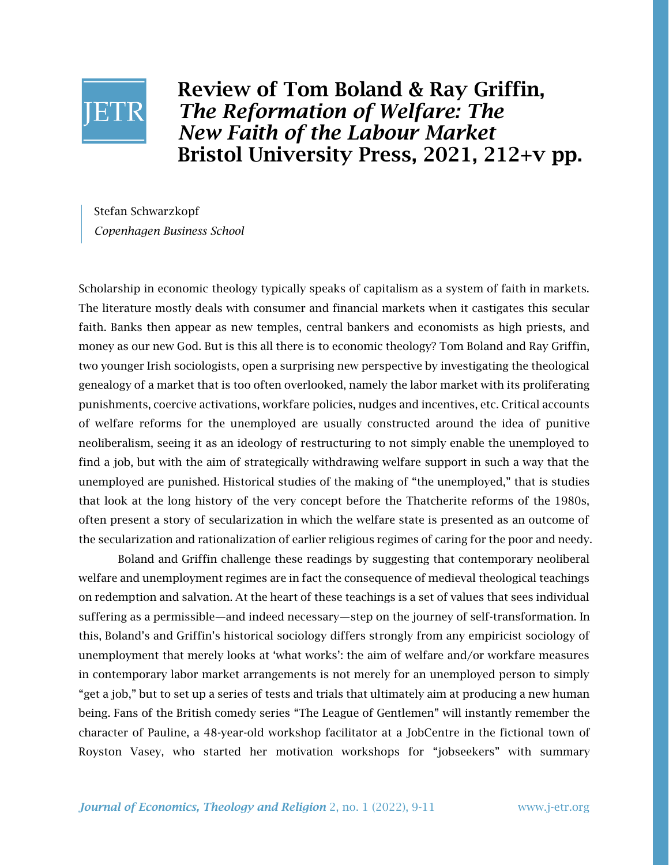

Review of Tom Boland & Ray Griffin, *The Reformation of Welfare: The New Faith of the Labour Market* Bristol University Press, 2021, 212+v pp.

Stefan Schwarzkopf *Copenhagen Business School*

Scholarship in economic theology typically speaks of capitalism as a system of faith in markets. The literature mostly deals with consumer and financial markets when it castigates this secular faith. Banks then appear as new temples, central bankers and economists as high priests, and money as our new God. But is this all there is to economic theology? Tom Boland and Ray Griffin, two younger Irish sociologists, open a surprising new perspective by investigating the theological genealogy of a market that is too often overlooked, namely the labor market with its proliferating punishments, coercive activations, workfare policies, nudges and incentives, etc. Critical accounts of welfare reforms for the unemployed are usually constructed around the idea of punitive neoliberalism, seeing it as an ideology of restructuring to not simply enable the unemployed to find a job, but with the aim of strategically withdrawing welfare support in such a way that the unemployed are punished. Historical studies of the making of "the unemployed," that is studies that look at the long history of the very concept before the Thatcherite reforms of the 1980s, often present a story of secularization in which the welfare state is presented as an outcome of the secularization and rationalization of earlier religious regimes of caring for the poor and needy.

Boland and Griffin challenge these readings by suggesting that contemporary neoliberal welfare and unemployment regimes are in fact the consequence of medieval theological teachings on redemption and salvation. At the heart of these teachings is a set of values that sees individual suffering as a permissible—and indeed necessary—step on the journey of self-transformation. In this, Boland's and Griffin's historical sociology differs strongly from any empiricist sociology of unemployment that merely looks at 'what works': the aim of welfare and/or workfare measures in contemporary labor market arrangements is not merely for an unemployed person to simply "get a job," but to set up a series of tests and trials that ultimately aim at producing a new human being. Fans of the British comedy series "The League of Gentlemen" will instantly remember the character of Pauline, a 48-year-old workshop facilitator at a JobCentre in the fictional town of Royston Vasey, who started her motivation workshops for "jobseekers" with summary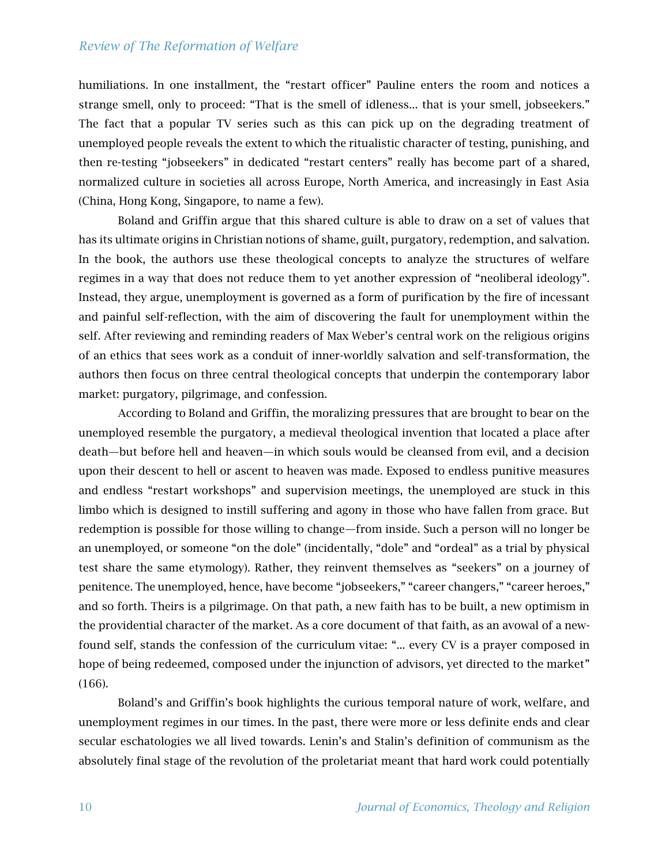## *Review of The Reformation of Welfare*

humiliations. In one installment, the "restart officer" Pauline enters the room and notices a strange smell, only to proceed: "That is the smell of idleness... that is your smell, jobseekers." The fact that a popular TV series such as this can pick up on the degrading treatment of unemployed people reveals the extent to which the ritualistic character of testing, punishing, and then re-testing "jobseekers" in dedicated "restart centers" really has become part of a shared, normalized culture in societies all across Europe, North America, and increasingly in East Asia (China, Hong Kong, Singapore, to name a few).

Boland and Griffin argue that this shared culture is able to draw on a set of values that has its ultimate origins in Christian notions of shame, guilt, purgatory, redemption, and salvation. In the book, the authors use these theological concepts to analyze the structures of welfare regimes in a way that does not reduce them to yet another expression of "neoliberal ideology". Instead, they argue, unemployment is governed as a form of purification by the fire of incessant and painful self-reflection, with the aim of discovering the fault for unemployment within the self. After reviewing and reminding readers of Max Weber's central work on the religious origins of an ethics that sees work as a conduit of inner-worldly salvation and self-transformation, the authors then focus on three central theological concepts that underpin the contemporary labor market: purgatory, pilgrimage, and confession.

According to Boland and Griffin, the moralizing pressures that are brought to bear on the unemployed resemble the purgatory, a medieval theological invention that located a place after death—but before hell and heaven—in which souls would be cleansed from evil, and a decision upon their descent to hell or ascent to heaven was made. Exposed to endless punitive measures and endless "restart workshops" and supervision meetings, the unemployed are stuck in this limbo which is designed to instill suffering and agony in those who have fallen from grace. But redemption is possible for those willing to change—from inside. Such a person will no longer be an unemployed, or someone "on the dole" (incidentally, "dole" and "ordeal" as a trial by physical test share the same etymology). Rather, they reinvent themselves as "seekers" on a journey of penitence. The unemployed, hence, have become "jobseekers," "career changers," "career heroes," and so forth. Theirs is a pilgrimage. On that path, a new faith has to be built, a new optimism in the providential character of the market. As a core document of that faith, as an avowal of a newfound self, stands the confession of the curriculum vitae: "... every CV is a prayer composed in hope of being redeemed, composed under the injunction of advisors, yet directed to the market" (166).

Boland's and Griffin's book highlights the curious temporal nature of work, welfare, and unemployment regimes in our times. In the past, there were more or less definite ends and clear secular eschatologies we all lived towards. Lenin's and Stalin's definition of communism as the absolutely final stage of the revolution of the proletariat meant that hard work could potentially